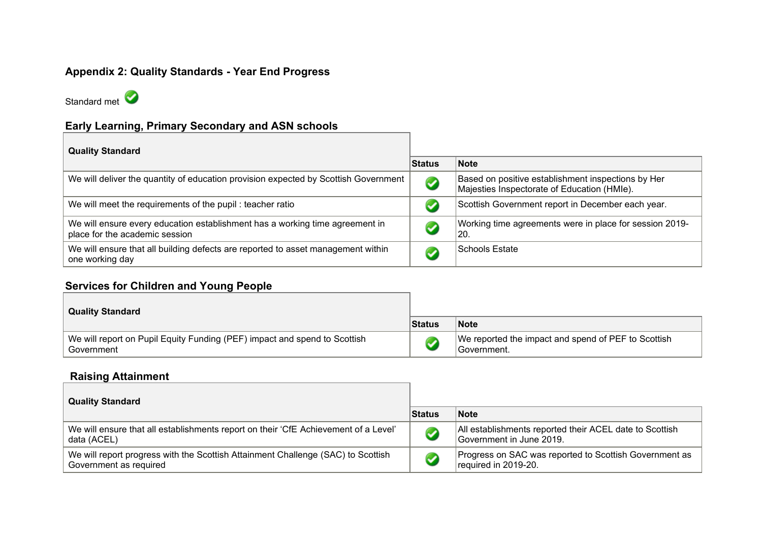### **Appendix 2: Quality Standards - Year End Progress**

Standard met

## **Early Learning, Primary Secondary and ASN schools**

| <b>Quality Standard</b>                                                                                        |         |                                                                                                   |  |
|----------------------------------------------------------------------------------------------------------------|---------|---------------------------------------------------------------------------------------------------|--|
|                                                                                                                | ∣Status | Note                                                                                              |  |
| We will deliver the quantity of education provision expected by Scottish Government                            |         | Based on positive establishment inspections by Her<br>Majesties Inspectorate of Education (HMIe). |  |
| We will meet the requirements of the pupil: teacher ratio                                                      |         | Scottish Government report in December each year.                                                 |  |
| We will ensure every education establishment has a working time agreement in<br>place for the academic session |         | Working time agreements were in place for session 2019-<br> 20.                                   |  |
| We will ensure that all building defects are reported to asset management within<br>one working day            |         | Schools Estate                                                                                    |  |

## **Services for Children and Young People**

| <b>Quality Standard</b>                                                                 |         |                                                                           |  |
|-----------------------------------------------------------------------------------------|---------|---------------------------------------------------------------------------|--|
|                                                                                         | ∣Status | Note                                                                      |  |
| We will report on Pupil Equity Funding (PEF) impact and spend to Scottish<br>Government |         | We reported the impact and spend of PEF to Scottish<br><b>Government.</b> |  |

#### **Raising Attainment**

| <b>Quality Standard</b>                                                                                    |         |                                                                                     |
|------------------------------------------------------------------------------------------------------------|---------|-------------------------------------------------------------------------------------|
|                                                                                                            | ∣Status | ∣Note                                                                               |
| We will ensure that all establishments report on their 'CfE Achievement of a Level'<br>data (ACEL)         |         | All establishments reported their ACEL date to Scottish<br>Government in June 2019. |
| We will report progress with the Scottish Attainment Challenge (SAC) to Scottish<br>Government as required |         | Progress on SAC was reported to Scottish Government as<br>required in 2019-20.      |